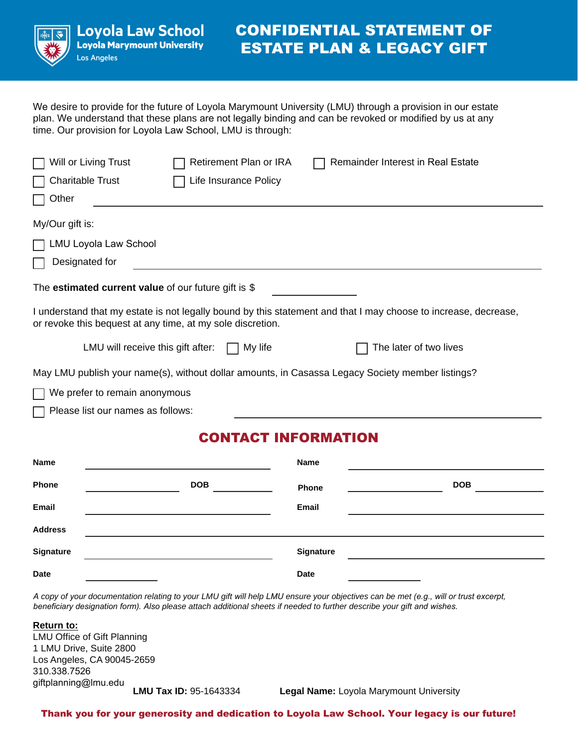

# **CONFIDENTIAL STATEMENT OF ESTATE PLAN & LEGACY GIFT**

We desire to provide for the future of Loyola Marymount University (LMU) through a provision in our estate plan. We understand that these plans are not legally binding and can be revoked or modified by us at any time. Our provision for Loyola Law School, LMU is through:

| Will or Living Trust                                                                                                                                                          |  | Retirement Plan or IRA |                | Remainder Interest in Real Estate |  |
|-------------------------------------------------------------------------------------------------------------------------------------------------------------------------------|--|------------------------|----------------|-----------------------------------|--|
| <b>Charitable Trust</b>                                                                                                                                                       |  | Life Insurance Policy  |                |                                   |  |
| Other                                                                                                                                                                         |  |                        |                |                                   |  |
| My/Our gift is:                                                                                                                                                               |  |                        |                |                                   |  |
| <b>LMU Loyola Law School</b>                                                                                                                                                  |  |                        |                |                                   |  |
| Designated for                                                                                                                                                                |  |                        |                |                                   |  |
| The estimated current value of our future gift is $$$                                                                                                                         |  |                        |                |                                   |  |
| I understand that my estate is not legally bound by this statement and that I may choose to increase, decrease,<br>or revoke this bequest at any time, at my sole discretion. |  |                        |                |                                   |  |
| LMU will receive this gift after:                                                                                                                                             |  | My life                |                | The later of two lives            |  |
| May LMU publish your name(s), without dollar amounts, in Casassa Legacy Society member listings?                                                                              |  |                        |                |                                   |  |
| We prefer to remain anonymous                                                                                                                                                 |  |                        |                |                                   |  |
| Please list our names as follows:                                                                                                                                             |  |                        |                |                                   |  |
|                                                                                                                                                                               |  |                        | АТ ІМЕАРМАТІАМ |                                   |  |

# **CONTACT INFORMATION**

| Name             |            | Name        |            |
|------------------|------------|-------------|------------|
| Phone            | <b>DOB</b> | Phone       | <b>DOB</b> |
| Email            |            | Email       |            |
| <b>Address</b>   |            |             |            |
| <b>Signature</b> |            | Signature   |            |
| <b>Date</b>      |            | <b>Date</b> |            |

*A copy of your documentation relating to your LMU gift will help LMU ensure your objectives can be met (e.g., will or trust excerpt, beneficiary designation form)*. Also please attach additional sheets if needed to further describe your gift and wishes.

| <b>Return to:</b>             |          |
|-------------------------------|----------|
| LMU Office of Gift Planning   |          |
| 1 LMU Drive, Suite 2800       |          |
| Los Angeles, CA 90045-2659    |          |
| 310.338.7526                  |          |
| giftplanning@lmu.edu          |          |
| <b>LMU Tax ID: 95-1643334</b> | Legal Na |

**L** Byola Marymount University

Thank you for your generosity and dedication to Loyola Law School. Your legacy is our future!